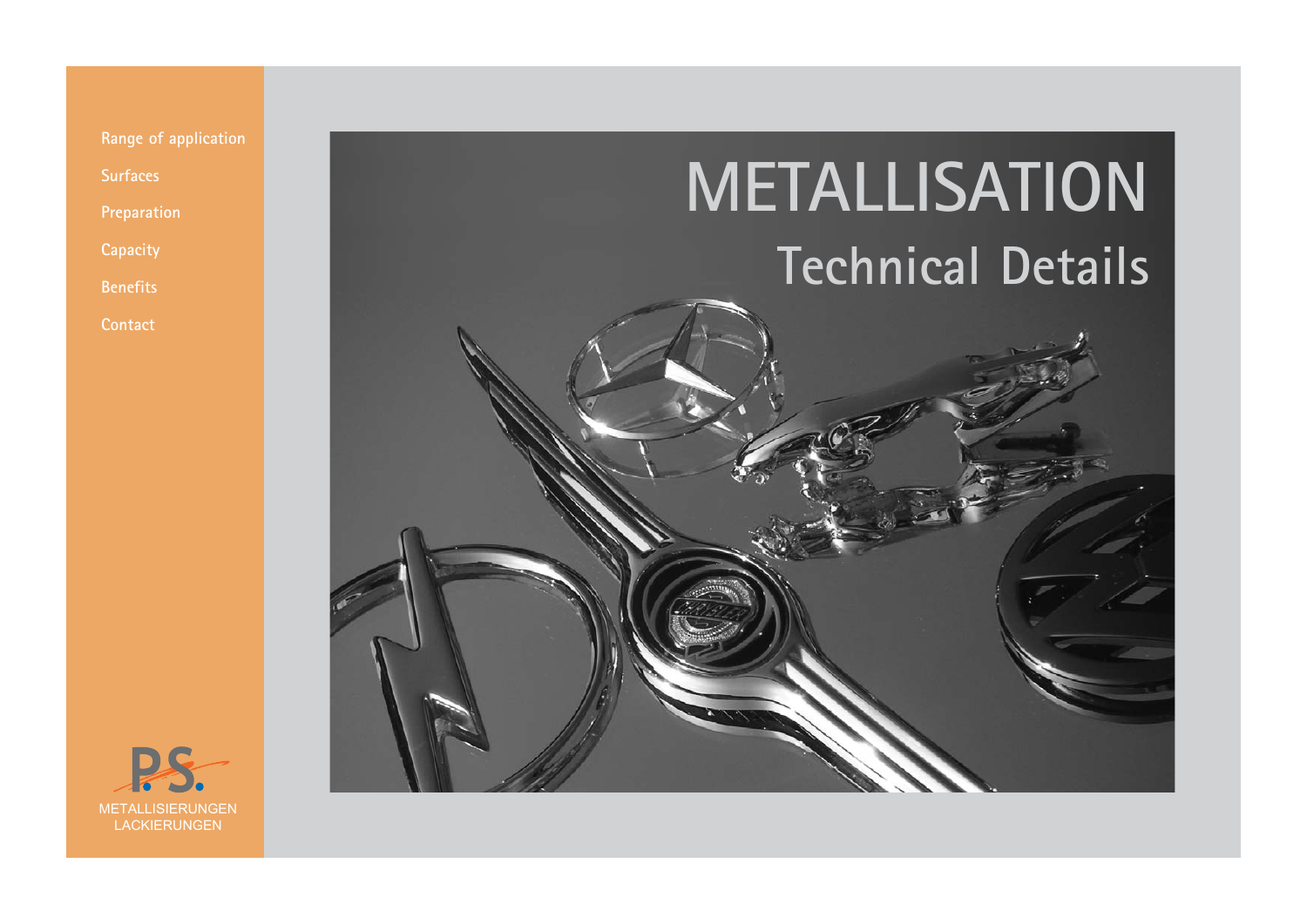



**Surfaces Preparation**

**Capacity**

**Benefits**

**Contact**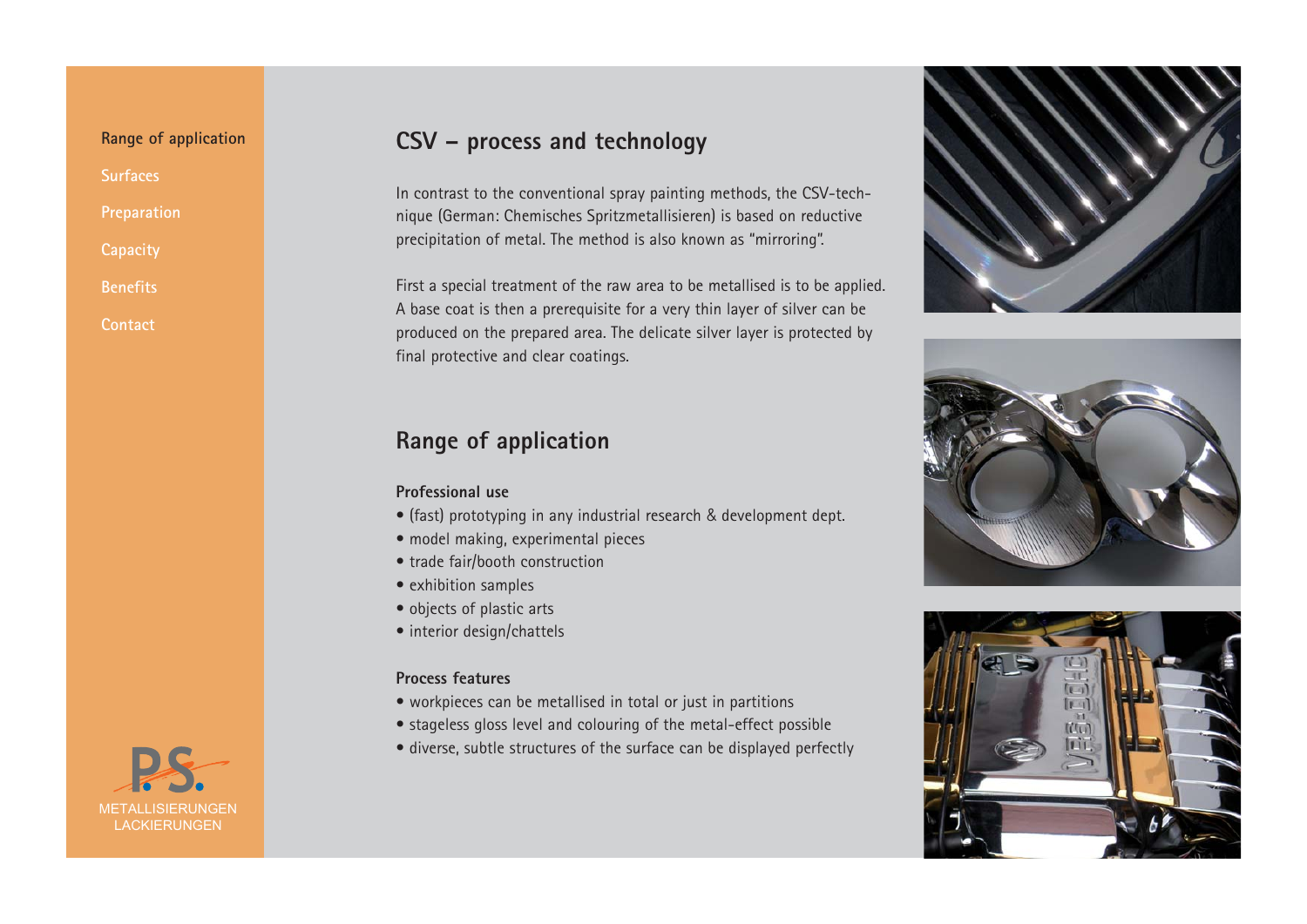**Benefits Contact**



# **CSV – process and technology**

In contrast to the conventional spray painting methods, the CSV-technique (German: Chemisches Spritzmetallisieren) is based on reductive precipitation of metal. The method is also known as "mirroring".

First a special treatment of the raw area to be metallised is to be applied. A base coat is then a prerequisite for a very thin layer of silver can be produced on the prepared area. The delicate silver layer is protected by final protective and clear coatings.

# **Range of application**

#### **Professional use**

- (fast) prototyping in any industrial research & development dept.
- model making, experimental pieces
- trade fair/booth construction
- exhibition samples
- objects of plastic arts
- interior design/chattels

#### **Process features**

- workpieces can be metallised in total or just in partitions
- stageless gloss level and colouring of the metal-effect possible
- diverse, subtle structures of the surface can be displayed perfectly





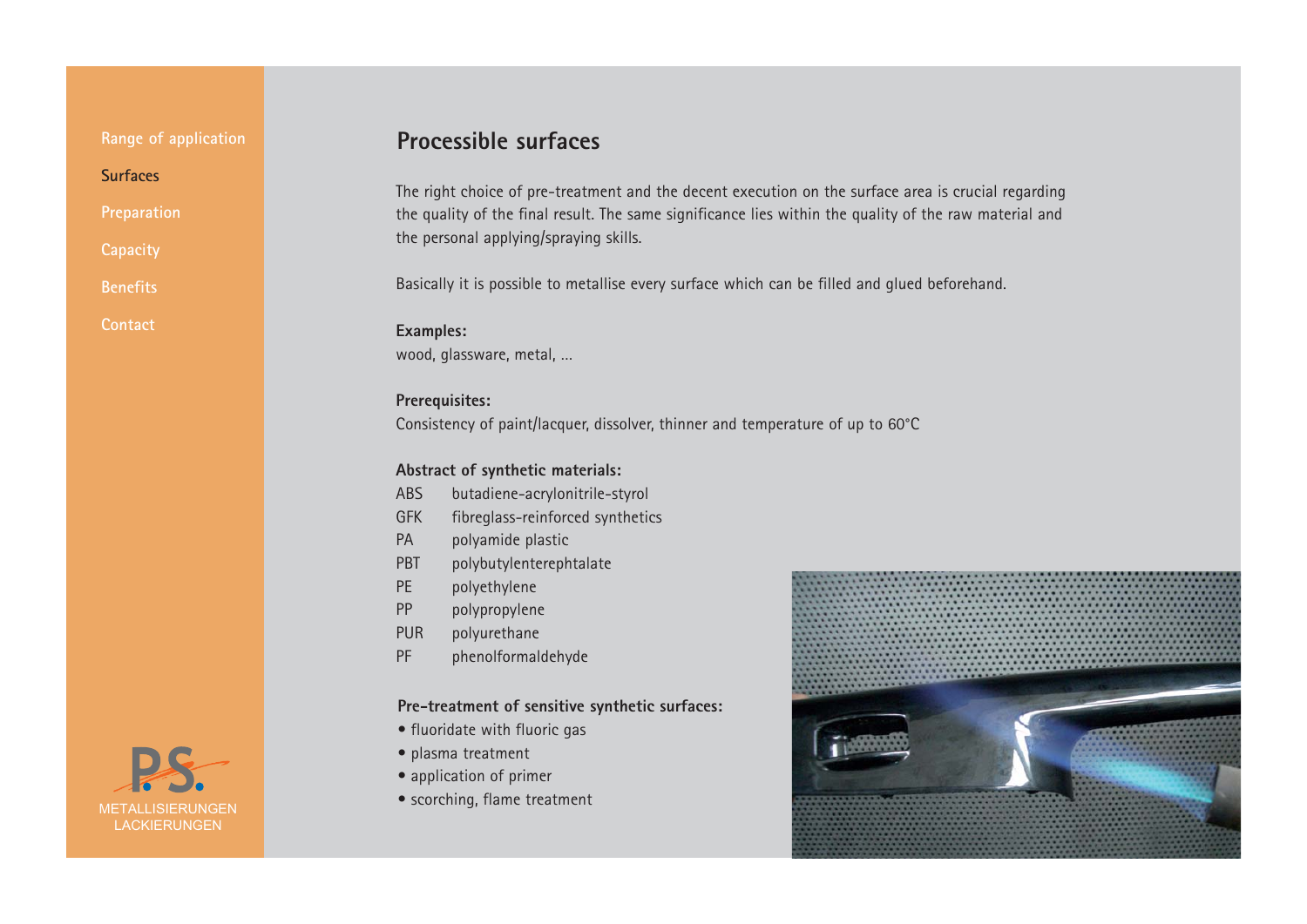**Range of application**

**Surfaces**

**Preparation**

**Capacity**

**Benefits**

**Contact**

# **Processible surfaces**

The right choice of pre-treatment and the decent execution on the surface area is crucial regarding the quality of the final result. The same significance lies within the quality of the raw material and the personal applying/spraying skills.

Basically it is possible to metallise every surface which can be filled and glued beforehand.

#### **Examples:** wood, glassware, metal, …

**Prerequisites:** Consistency of paint/lacquer, dissolver, thinner and temperature of up to 60°C

#### **Abstract of synthetic materials:**

- ABS butadiene-acrylonitrile-styrol
- GFK fibreglass-reinforced synthetics
- PA polyamide plastic
- PBT polybutylenterephtalate
- PE polyethylene
- PP polypropylene
- PUR polyurethane
- PF phenolformaldehyde

#### **Pre-treatment of sensitive synthetic surfaces:**

- fluoridate with fluoric gas
- plasma treatment
- application of primer
- scorching, flame treatment



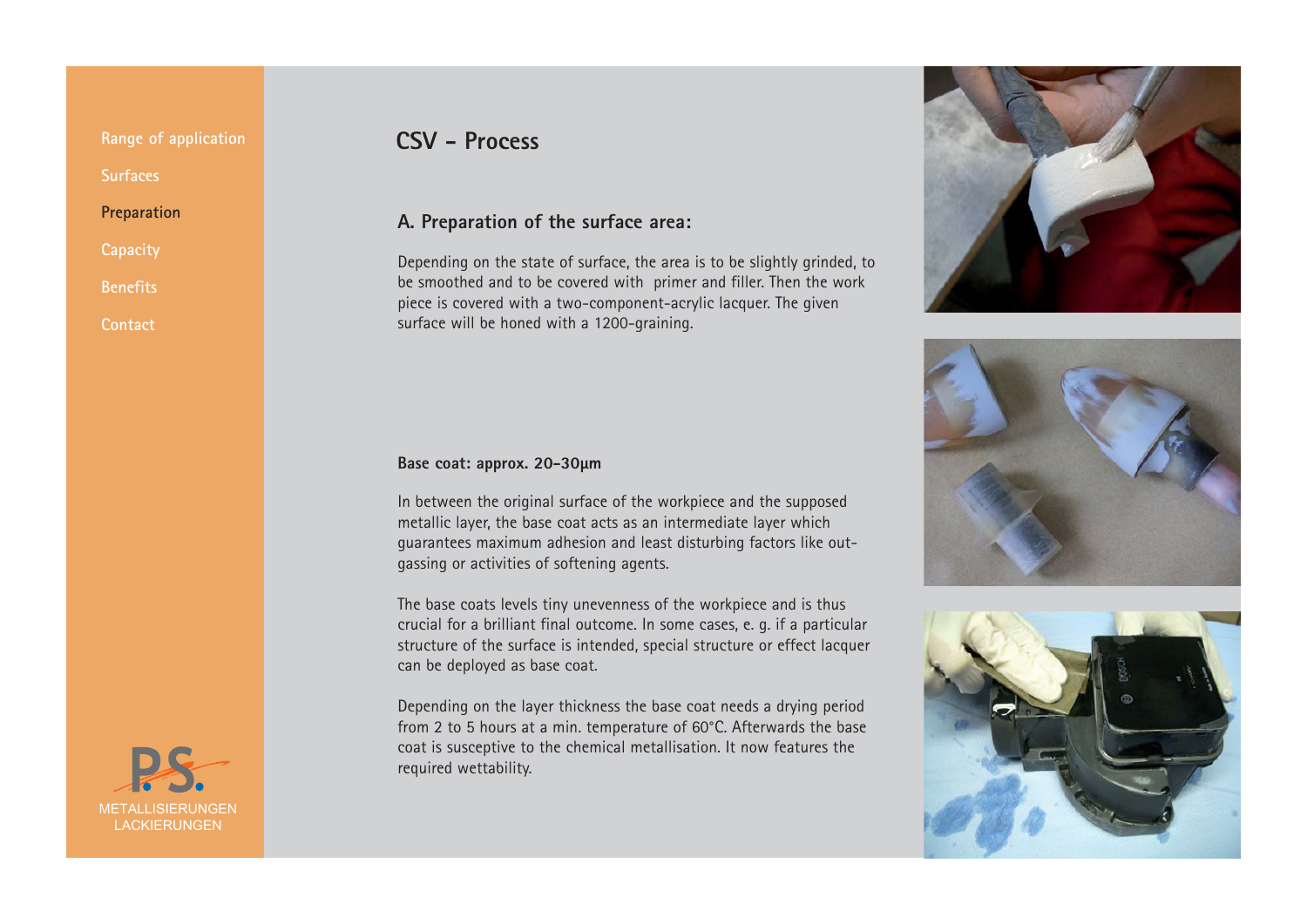**Capacity**

**Benefits**

**Contact**

# METALLISIERUNGEN LACKIERUNGEN

# **CSV - Process**

#### **A. Preparation of the surface area:**

Depending on the state of surface, the area is to be slightly grinded, to be smoothed and to be covered with primer and filler. Then the work piece is covered with a two-component-acrylic lacquer. The given surface will be honed with a 1200-graining.

#### **Base coat: approx. 20-30µm**

In between the original surface of the workpiece and the supposed metallic layer, the base coat acts as an intermediate layer which guarantees maximum adhesion and least disturbing factors like out gassing or activities of softening agents.

The base coats levels tiny unevenness of the workpiece and is thus crucial for a brilliant final outcome. In some cases, e. g. if a particular structure of the surface is intended, special structure or effect lacquer can be deployed as base coat.

Depending on the layer thickness the base coat needs a drying period from 2 to 5 hours at a min. temperature of 60°C. Afterwards the base coat is susceptive to the chemical metallisation. It now features the required wettability.





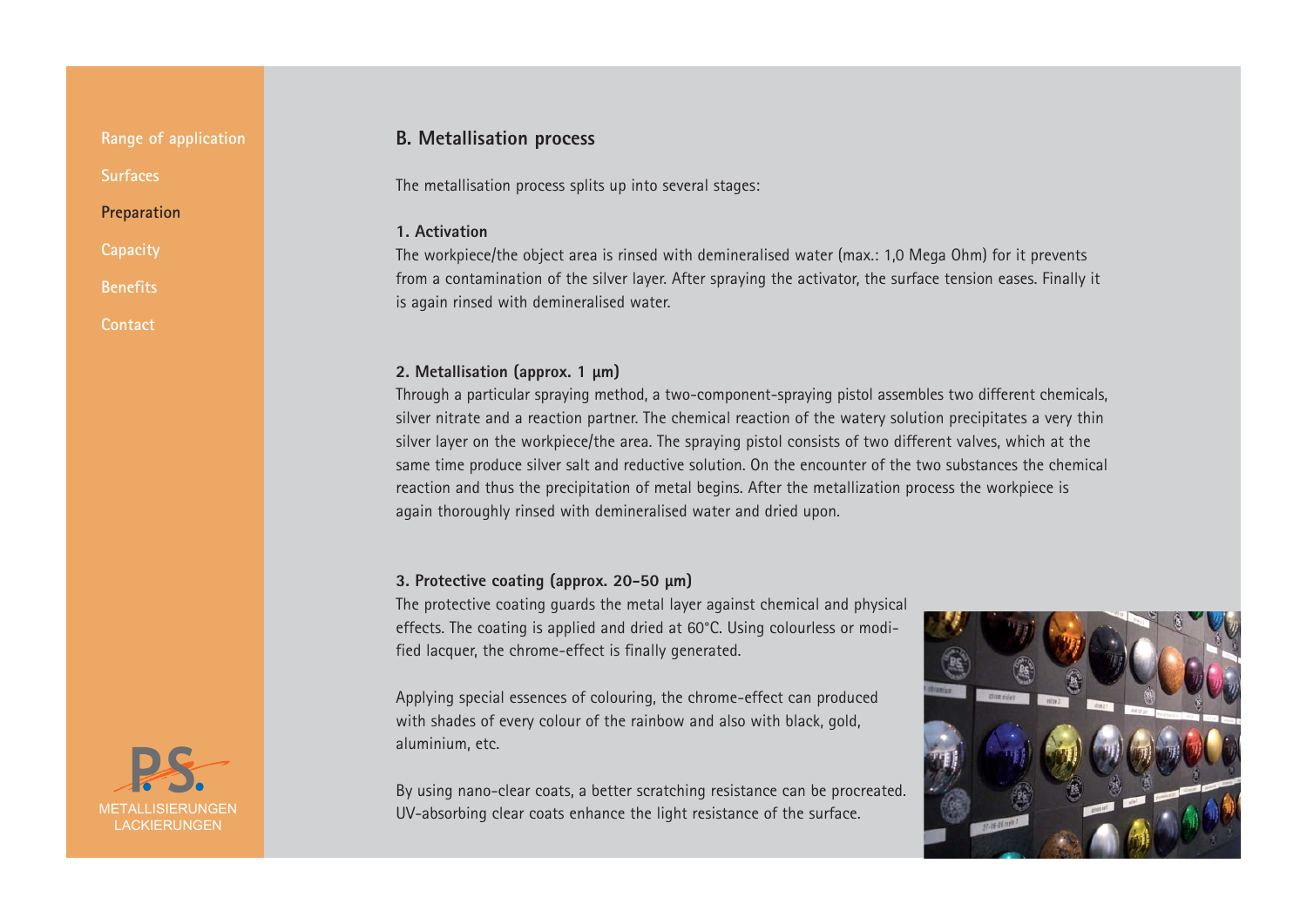**Range of application Surfaces**

#### **Preparation**

**Capacity**

**Benefits**

**Contact**



#### **B. Metallisation process**

The metallisation process splits up into several stages:

#### **1. Activation**

The workpiece/the object area is rinsed with demineralised water (max.: 1,0 Mega Ohm) for it prevents from a contamination of the silver layer. After spraying the activator, the surface tension eases. Finally it is again rinsed with demineralised water.

#### **2. Metallisation (approx. 1 µm)**

Through a particular spraying method, a two-component-spraying pistol assembles two different chemicals, silver nitrate and a reaction partner. The chemical reaction of the watery solution precipitates a very thin silver layer on the workpiece/the area. The spraying pistol consists of two different valves, which at the same time produce silver salt and reductive solution. On the encounter of the two substances the chemical reaction and thus the precipitation of metal begins. After the metallization process the workpiece is again thoroughly rinsed with demineralised water and dried upon.

#### **3. Protective coating (approx. 20-50 µm)**

The protective coating guards the metal layer against chemical and physical effects. The coating is applied and dried at 60°C. Using colourless or modified lacquer, the chrome-effect is finally generated.

Applying special essences of colouring, the chrome-effect can produced with shades of every colour of the rainbow and also with black, gold, aluminium, etc.

By using nano-clear coats, a better scratching resistance can be procreated. UV-absorbing clear coats enhance the light resistance of the surface.

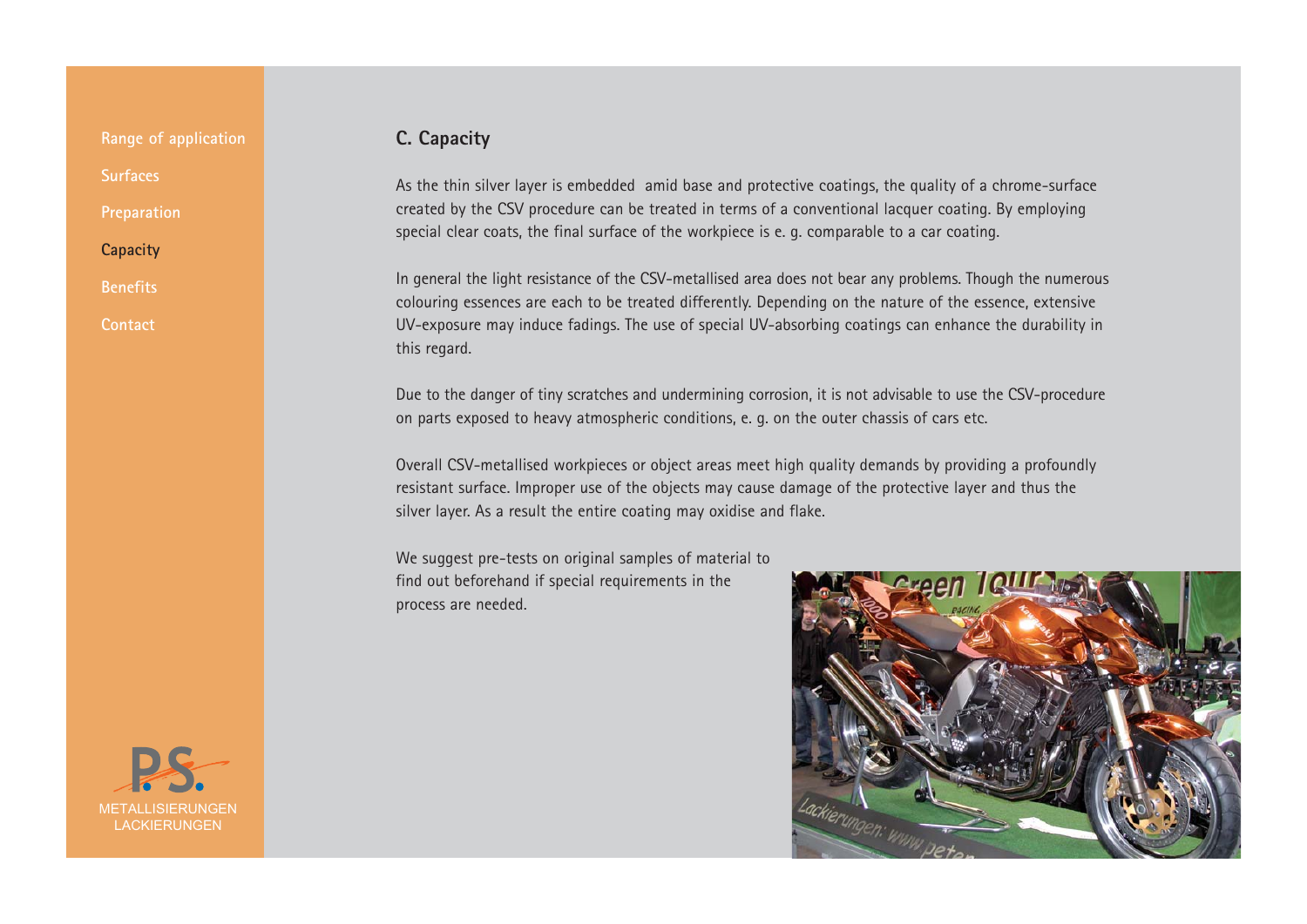**Benefits**

**Contact**

### **C. Capacity**

As the thin silver layer is embedded amid base and protective coatings, the quality of a chrome-surface created by the CSV procedure can be treated in terms of a conventional lacquer coating. By employing special clear coats, the final surface of the workpiece is e. g. comparable to a car coating.

In general the light resistance of the CSV-metallised area does not bear any problems. Though the numerous colouring essences are each to be treated differently. Depending on the nature of the essence, extensive UV-exposure may induce fadings. The use of special UV-absorbing coatings can enhance the durability in this regard.

Due to the danger of tiny scratches and undermining corrosion, it is not advisable to use the CSV-procedure on parts exposed to heavy atmospheric conditions, e. g. on the outer chassis of cars etc.

Overall CSV-metallised workpieces or object areas meet high quality demands by providing a profoundly resistant surface. Improper use of the objects may cause damage of the protective layer and thus the silver layer. As a result the entire coating may oxidise and flake.

We suggest pre-tests on original samples of material to find out beforehand if special requirements in the process are needed.



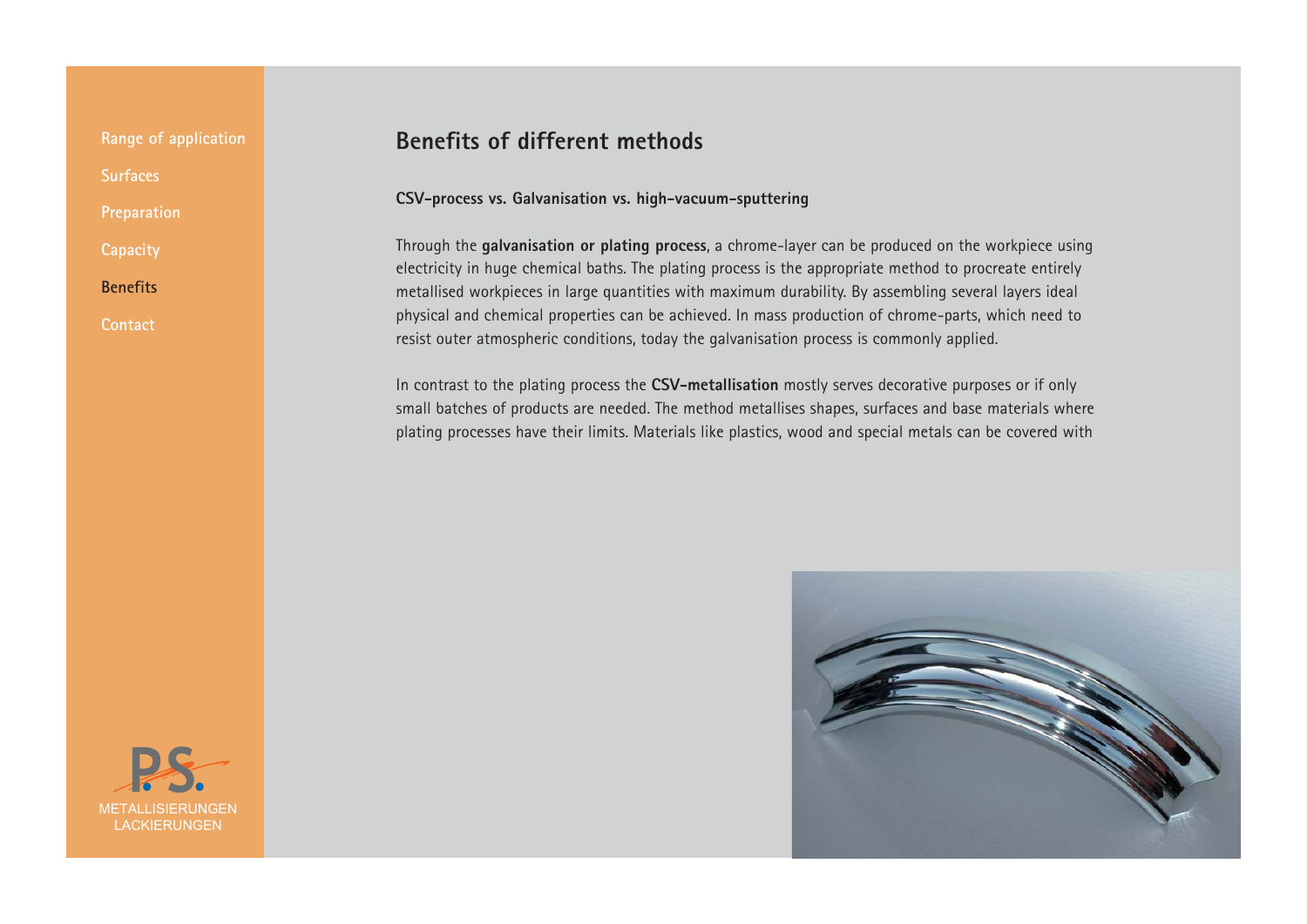**Benefits**

**Contact**

## **Benefits of different methods**

#### **CSV-process vs. Galvanisation vs. high-vacuum-sputtering**

Through the **galvanisation or plating process**, a chrome-layer can be produced on the workpiece using electricity in huge chemical baths. The plating process is the appropriate method to procreate entirely metallised workpieces in large quantities with maximum durability. By assembling several layers ideal physical and chemical properties can be achieved. In mass production of chrome-parts, which need to resist outer atmospheric conditions, today the galvanisation process is commonly applied.

In contrast to the plating process the **CSV-metallisation** mostly serves decorative purposes or if only small batches of products are needed. The method metallises shapes, surfaces and base materials where plating processes have their limits. Materials like plastics, wood and special metals can be covered with



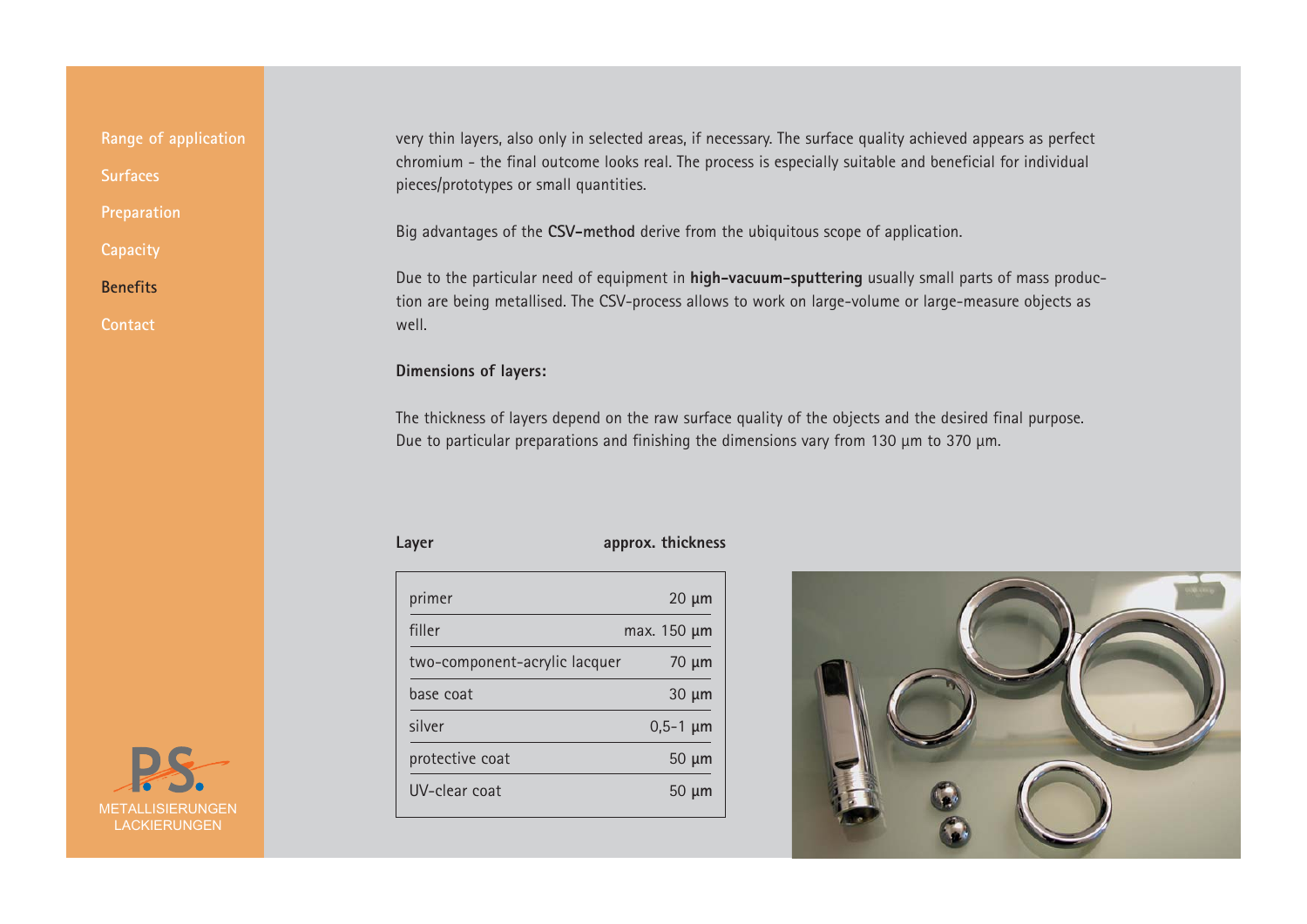**Capacity**

**Benefits**

**Contact**

very thin layers, also only in selected areas, if necessary. The surface quality achieved appears as perfect chromium - the final outcome looks real. The process is especially suitable and beneficial for individual pieces/prototypes or small quantities.

Big advantages of the **CSV-method** derive from the ubiquitous scope of application.

Due to the particular need of equipment in **high-vacuum-sputtering** usually small parts of mass production are being metallised. The CSV-process allows to work on large-volume or large-measure objects as well.

#### **Dimensions of layers:**

The thickness of layers depend on the raw surface quality of the objects and the desired final purpose. Due to particular preparations and finishing the dimensions vary from 130 µm to 370 µm.

#### Layer **approx.** thickness

| primer                        | $20 \mu m$    |
|-------------------------------|---------------|
| filler                        | max. 150 µm   |
| two-component-acrylic lacquer | 70 µm         |
| base coat                     | $30 \mu m$    |
| silver                        | $0,5-1 \mu m$ |
| protective coat               | $50 \mu m$    |
| UV-clear coat                 | 50 µm         |
|                               |               |